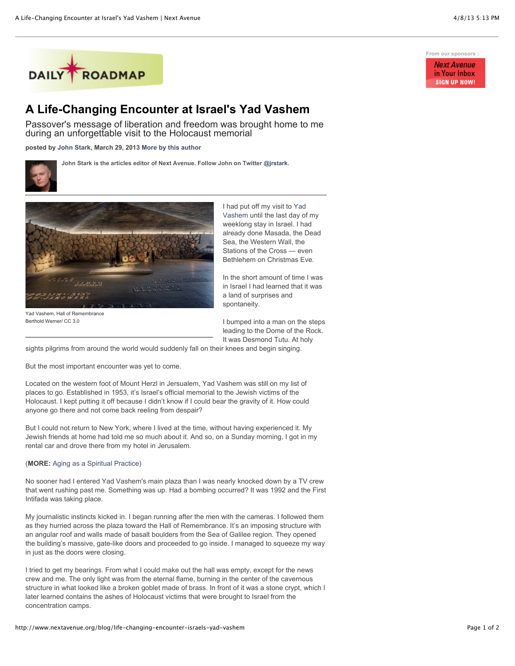

## **A Life-Changing Encounter at Israel's Yad Vashem**

Passover's message of liberation and freedom was brought home to me during an unforgettable visit to the Holocaust memorial

**posted by [John Stark,](http://www.nextavenue.org/staff/john-stark) March 29, 2013 [More by this author](http://www.nextavenue.org/staff/john-stark)**



**John Stark is the articles editor of Next Avenue. Follow John on Twitter [@jrstark](http://twitter.com/jrstark).**



Yad Vashem, Hall of Remembrance Berthold Werner/ CC 3.0

I had put off my visit to Yad [Vashem until the last day of](http://www.yadvashem.org/) my weeklong stay in Israel. I had already done Masada, the Dead Sea, the Western Wall, the Stations of the Cross — even Bethlehem on Christmas Eve.

In the short amount of time I was in Israel I had learned that it was a land of surprises and spontaneity.

I bumped into a man on the steps leading to the Dome of the Rock. It was Desmond Tutu. At holy

sights pilgrims from around the world would suddenly fall on their knees and begin singing.

But the most important encounter was yet to come.

Located on the western foot of Mount Herzl in Jersualem, Yad Vashem was still on my list of places to go. Established in 1953, it's Israel's official memorial to the Jewish victims of the Holocaust. I kept putting it off because I didn't know if I could bear the gravity of it. How could anyone go there and not come back reeling from despair?

But I could not return to New York, where I lived at the time, without having experienced it. My Jewish friends at home had told me so much about it. And so, on a Sunday morning, I got in my rental car and drove there from my hotel in Jerusalem.

## (**MORE:** [Aging as a Spiritual Practice\)](http://www.nextavenue.org/article/2012-02/aging-spiritual-practice)

No sooner had I entered Yad Vashem's main plaza than I was nearly knocked down by a TV crew that went rushing past me. Something was up. Had a bombing occurred? It was 1992 and the First Intifada was taking place.

My journalistic instincts kicked in. I began running after the men with the cameras. I followed them as they hurried across the plaza toward the Hall of Remembrance. It's an imposing structure with an angular roof and walls made of basalt boulders from the Sea of Galilee region. They opened the building's massive, gate-like doors and proceeded to go inside. I managed to squeeze my way in just as the doors were closing.

I tried to get my bearings. From what I could make out the hall was empty, except for the news crew and me. The only light was from the eternal flame, burning in the center of the cavernous structure in what looked like a broken goblet made of brass. In front of it was a stone crypt, which I later learned contains the ashes of Holocaust victims that were brought to Israel from the concentration camps.